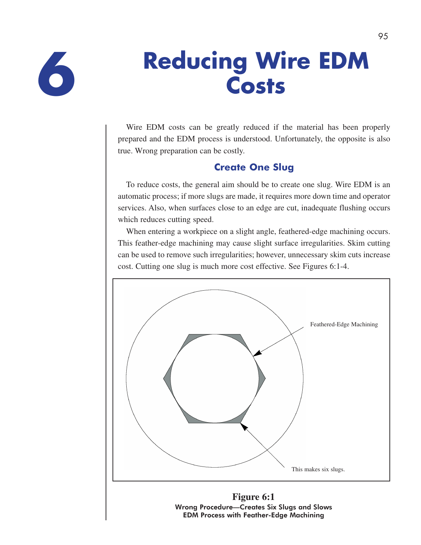

# **Reducing Wire EDM 6 Costs**

Wire EDM costs can be greatly reduced if the material has been properly prepared and the EDM process is understood. Unfortunately, the opposite is also true. Wrong preparation can be costly.

# **Create One Slug**

To reduce costs, the general aim should be to create one slug. Wire EDM is an automatic process; if more slugs are made, it requires more down time and operator services. Also, when surfaces close to an edge are cut, inadequate flushing occurs which reduces cutting speed.

When entering a workpiece on a slight angle, feathered-edge machining occurs. This feather-edge machining may cause slight surface irregularities. Skim cutting can be used to remove such irregularities; however, unnecessary skim cuts increase cost. Cutting one slug is much more cost effective. See Figures 6:1-4.



Wrong Procedure—Creates Six Slugs and Slows EDM Process with Feather-Edge Machining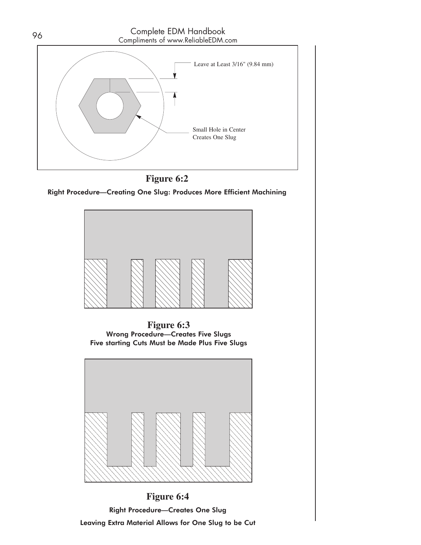



Right Procedure—Creating One Slug: Produces More Efficient Machining



**Figure 6:3**  Wrong Procedure—Creates Five Slugs Five starting Cuts Must be Made Plus Five Slugs



**Figure 6:4**  Right Procedure—Creates One Slug Leaving Extra Material Allows for One Slug to be Cut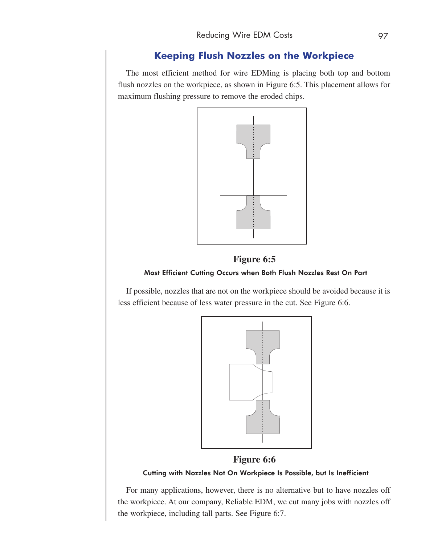# **Keeping Flush Nozzles on the Workpiece**

The most efficient method for wire EDMing is placing both top and bottom flush nozzles on the workpiece, as shown in Figure 6:5. This placement allows for maximum flushing pressure to remove the eroded chips.



# **Figure 6:5**  Most Efficient Cutting Occurs when Both Flush Nozzles Rest On Part

If possible, nozzles that are not on the workpiece should be avoided because it is less efficient because of less water pressure in the cut. See Figure 6:6.



### **Figure 6:6**

### Cutting with Nozzles Not On Workpiece Is Possible, but Is Inefficient

For many applications, however, there is no alternative but to have nozzles off the workpiece. At our company, Reliable EDM, we cut many jobs with nozzles off the workpiece, including tall parts. See Figure 6:7.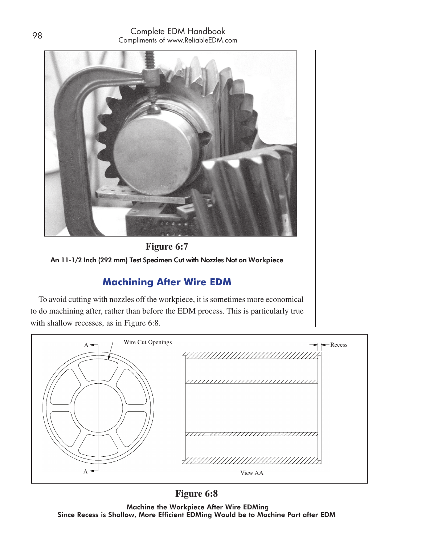



# **Machining After Wire EDM**

To avoid cutting with nozzles off the workpiece, it is sometimes more economical to do machining after, rather than before the EDM process. This is particularly true with shallow recesses, as in Figure 6:8.



# **Figure 6:8**

 Machine the Workpiece After Wire EDMing Since Recess is Shallow, More Efficient EDMing Would be to Machine Part after EDM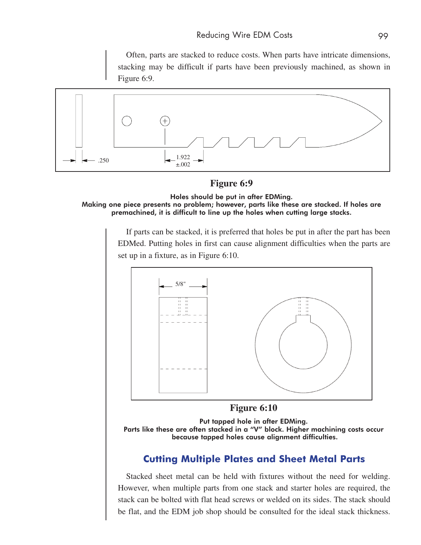Often, parts are stacked to reduce costs. When parts have intricate dimensions, stacking may be difficult if parts have been previously machined, as shown in Figure 6:9.



**Figure 6:9** 

Holes should be put in after EDMing. Making one piece presents no problem; however, parts like these are stacked. If holes are premachined, it is difficult to line up the holes when cutting large stacks.

If parts can be stacked, it is preferred that holes be put in after the part has been EDMed. Putting holes in first can cause alignment difficulties when the parts are set up in a fixture, as in Figure 6:10.





Parts like these are often stacked in a "V" block. Higher machining costs occur because tapped holes cause alignment difficulties.

# **Cutting Multiple Plates and Sheet Metal Parts**

Stacked sheet metal can be held with fixtures without the need for welding. However, when multiple parts from one stack and starter holes are required, the stack can be bolted with flat head screws or welded on its sides. The stack should be flat, and the EDM job shop should be consulted for the ideal stack thickness.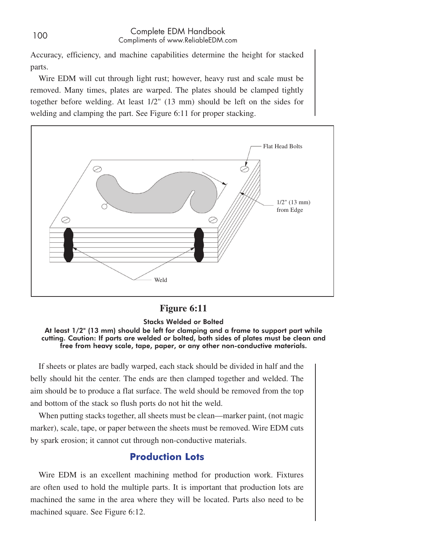### <sup>100</sup> Complete EDM Handbook Compliments of www.ReliableEDM.com

Accuracy, efficiency, and machine capabilities determine the height for stacked parts.

Wire EDM will cut through light rust; however, heavy rust and scale must be removed. Many times, plates are warped. The plates should be clamped tightly together before welding. At least 1/2" (13 mm) should be left on the sides for welding and clamping the part. See Figure 6:11 for proper stacking.



### **Figure 6:11**

### Stacks Welded or Bolted

At least 1/2" (13 mm) should be left for clamping and a frame to support part while cutting. Caution: If parts are welded or bolted, both sides of plates must be clean and free from heavy scale, tape, paper, or any other non-conductive materials.

If sheets or plates are badly warped, each stack should be divided in half and the belly should hit the center. The ends are then clamped together and welded. The aim should be to produce a flat surface. The weld should be removed from the top and bottom of the stack so flush ports do not hit the weld.

When putting stacks together, all sheets must be clean—marker paint, (not magic marker), scale, tape, or paper between the sheets must be removed. Wire EDM cuts by spark erosion; it cannot cut through non-conductive materials.

### **Production Lots**

Wire EDM is an excellent machining method for production work. Fixtures are often used to hold the multiple parts. It is important that production lots are machined the same in the area where they will be located. Parts also need to be machined square. See Figure 6:12.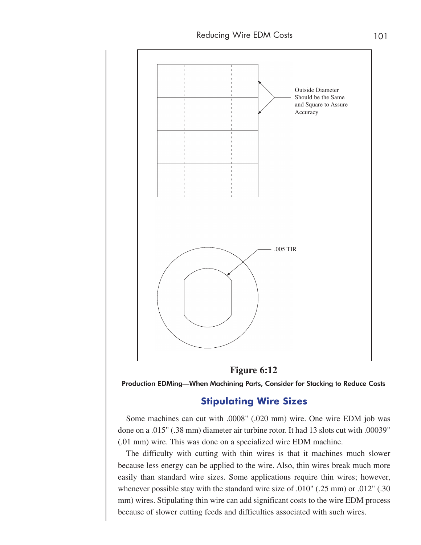



Production EDMing—When Machining Parts, Consider for Stacking to Reduce Costs

### **Stipulating Wire Sizes**

Some machines can cut with .0008" (.020 mm) wire. One wire EDM job was done on a .015" (.38 mm) diameter air turbine rotor. It had 13 slots cut with .00039" (.01 mm) wire. This was done on a specialized wire EDM machine.

The difficulty with cutting with thin wires is that it machines much slower because less energy can be applied to the wire. Also, thin wires break much more easily than standard wire sizes. Some applications require thin wires; however, whenever possible stay with the standard wire size of .010" (.25 mm) or .012" (.30 mm) wires. Stipulating thin wire can add significant costs to the wire EDM process because of slower cutting feeds and difficulties associated with such wires.